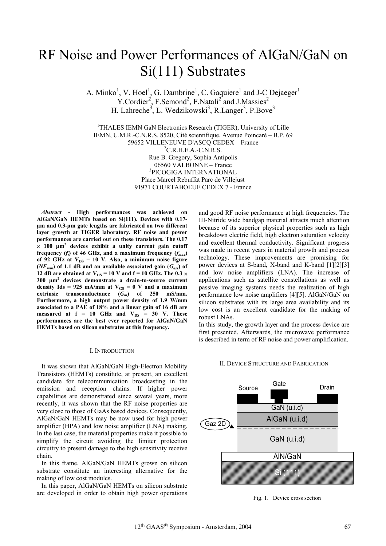# RF Noise and Power Performances of AlGaN/GaN on Si(111) Substrates

A. Minko<sup>1</sup>, V. Hoel<sup>1</sup>, G. Dambrine<sup>1</sup>, C. Gaquiere<sup>1</sup> and J-C Dejaeger<sup>1</sup>  $Y$ .Cordier<sup>2</sup>, F.Semond<sup>2</sup>, F.Natali<sup>2</sup> and J.Massies<sup>2</sup> H. Lahreche<sup>3</sup>, L. Wedzikowski<sup>3</sup>, R.Langer<sup>3</sup>, P.Bove<sup>3</sup>

<sup>1</sup>THALES IEMN GaN Electronics Research (TIGER), University of Lille IEMN, U.M.R.-C.N.R.S. 8520, Cité scientifique, Avenue Poincaré – B.P. 69 59652 VILLENEUVE D'ASCQ CEDEX – France <sup>2</sup>  ${}^{2}$ C.R.H.E.A.-C.N.R.S. Rue B. Gregory, Sophia Antipolis 06560 VALBONNE – France <sup>3</sup> <sup>3</sup>PICOGIGA INTERNATIONAL Place Marcel Rebuffat Parc de Villejust 91971 COURTABOEUF CEDEX 7 - France

*Abstract* **- High performances was achieved on AlGaN/GaN HEMTs based on Si(111). Devices with 0.17 µm and 0.3-µm gate lengths are fabricated on two different layer growth at TIGER laboratory. RF noise and power performances are carried out on these transistors. The 0.17 × 100 μm<sup>2</sup> devices exhibit a unity current gain cutoff frequency** (*f*) of 46 GHz, and a maximum frequency  $(f_{max})$ of 92 GHz at  $V_{DS} = 10$  V. Also, a minimum noise figure  $(NF_{min})$  of 1.1 dB and an available associated gain  $(G_{ass})$  of 12 dB are obtained at  $V_{DS}$  = 10 V and f = 10 GHz. The 0.3  $\times$ **300 µm<sup>2</sup> devices demonstrate a drain-to-source current** density Ids =  $925$  mA/mm at  $V_{GS} = 0$  V and a maximum extrinsic transconductance  $(\widetilde{G}_m)$  of 250 mS/mm. **Furthermore, a high output power density of 1.9 W/mm associated to a PAE of 18% and a linear gain of 16 dB are**  measured at  $f = 10$  GHz and  $V_{DS} = 30$  V. These **performances are the best ever reported for AlGaN/GaN HEMTs based on silicon substrates at this frequency.**

### I. INTRODUCTION

It was shown that AlGaN/GaN High-Electron Mobility Transistors (HEMTs) constitute, at present, an excellent candidate for telecommunication broadcasting in the emission and reception chains. If higher power capabilities are demonstrated since several years, more recently, it was shown that the RF noise properties are very close to those of GaAs based devices. Consequently, AlGaN/GaN HEMTs may be now used for high power amplifier (HPA) and low noise amplifier (LNA) making. In the last case, the material properties make it possible to simplify the circuit avoiding the limiter protection circuitry to present damage to the high sensitivity receive chain.

In this frame, AlGaN/GaN HEMTs grown on silicon substrate constitute an interesting alternative for the making of low cost modules.

In this paper, AlGaN/GaN HEMTs on silicon substrate are developed in order to obtain high power operations

and good RF noise performance at high frequencies. The III-Nitride wide bandgap material attracts much attention because of its superior physical properties such as high breakdown electric field, high electron saturation velocity and excellent thermal conductivity. Significant progress was made in recent years in material growth and process technology. These improvements are promising for power devices at S-band, X-band and K-band [1][2][3] and low noise amplifiers (LNA). The increase of applications such as satellite constellations as well as passive imaging systems needs the realization of high performance low noise amplifiers [4][5]. AlGaN/GaN on silicon substrates with its large area availability and its low cost is an excellent candidate for the making of robust LNAs.

In this study, the growth layer and the process device are first presented. Afterwards, the microwave performance is described in term of RF noise and power amplification.

### II. DEVICE STRUCTURE AND FABRICATION



Fig. 1. Device cross section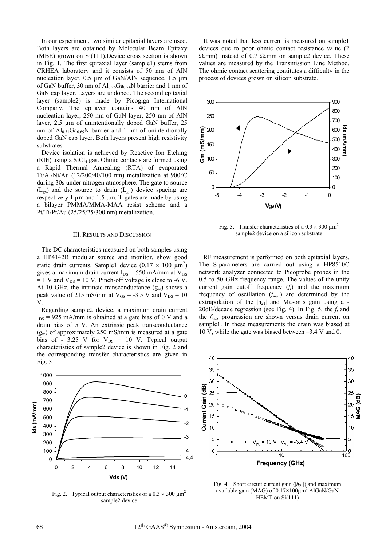In our experiment, two similar epitaxial layers are used. Both layers are obtained by Molecular Beam Epitaxy  $(MBE)$  grown on  $Si(111)$ . Device cross section is shown in Fig. 1. The first epitaxial layer (sample1) stems from CRHEA laboratory and it consists of 50 nm of AlN nucleation layer, 0.5 μm of GaN/AlN sequence, 1.5 μm of GaN buffer, 30 nm of  $Al_{0.26}Ga_{0.74}N$  barrier and 1 nm of GaN cap layer. Layers are undoped. The second epitaxial layer (sample2) is made by Picogiga International Company. The epilayer contains 40 nm of AlN nucleation layer, 250 nm of GaN layer, 250 nm of AlN layer, 2.5 µm of unintentionally doped GaN buffer, 25 nm of  $Al_{0.31}Ga_{0.69}N$  barrier and 1 nm of unintentionally doped GaN cap layer. Both layers present high resistivity substrates.

Device isolation is achieved by Reactive Ion Etching  $(RIE)$  using a  $SiCl<sub>4</sub>$  gas. Ohmic contacts are formed using a Rapid Thermal Annealing (RTA) of evaporated Ti/Al/Ni/Au (12/200/40/100 nm) metallization at 900°C during 30s under nitrogen atmosphere. The gate to source  $(L_{gs})$  and the source to drain  $(L_{gd})$  device spacing are respectively 1 µm and 1.5 µm. T-gates are made by using a bilayer PMMA/MMA-MAA resist scheme and a Pt/Ti/Pt/Au (25/25/25/300 nm) metallization.

### III. RESULTS AND DISCUSSION

The DC characteristics measured on both samples using a HP4142B modular source and monitor, show good static drain currents. Sample1 device  $(0.17 \times 100 \mu m^2)$ gives a maximum drain current  $I_{DS} = 550$  mA/mm at  $V_{GS}$  $= 1$  V and V<sub>DS</sub> = 10 V. Pinch-off voltage is close to -6 V. At 10 GHz, the intrinsic transconductance  $(g_m)$  shows a peak value of 215 mS/mm at  $V_{GS}$  = -3.5 V and  $V_{DS}$  = 10 V.

characteristics of sample2 device is shown in Fig. 2 and the corresponding transfer characteristics are given in Fig. 3 Regarding sample2 device, a maximum drain current  $I_{DS}$  = 925 mA/mm is obtained at a gate bias of 0 V and a drain bias of 5 V. An extrinsic peak transconductance  $(g<sub>m</sub>)$  of approximately 250 mS/mm is measured at a gate bias of - 3.25 V for  $V_{DS} = 10$  V. Typical output



Fig. 2. Typical output characteristics of a  $0.3 \times 300 \mu m^2$ sample2 device

It was noted that less current is measured on sample1 devices due to poor ohmic contact resistance value (2  $\Omega$ .mm) instead of 0.7  $\Omega$ .mm on sample2 device. These values are measured by the Transmission Line Method. The oh mic contact scattering contitutes a difficulty in the process of devices grown on silicon substrate.



Fig. 3. Transfer characteristics of a  $0.3 \times 300 \text{ nm}^2$ sample2 device on a silicon substrate

The S-parameters are carried out using a HP8510C network analyzer connected to Picoprobe probes in the .5 to 50 GHz frequency range. The values of the unity 0 current gain cutoff frequency  $(f_t)$  and the maximum frequency of oscillation  $(f_{max})$  are determined by the extrapolation of the  $|h_{21}|$  and Mason's gain using a -20dB/decade regression (see Fig. 4). In Fig. 5, the  $f_t$  and the  $f_{max}$  progression are shown versus drain current on sample1. In these measurements the drain was biased at 10 V, while the gate was biased between  $-3.4$  V and 0. RF measurement is performed on both epitaxial layers.



Fig. 4. Short circuit current gain  $(|h_{21}|)$  and maximum available gain (MAG) of  $0.17 \times 100 \mu m^2$  AlGaN/GaN HEMT on Si(111)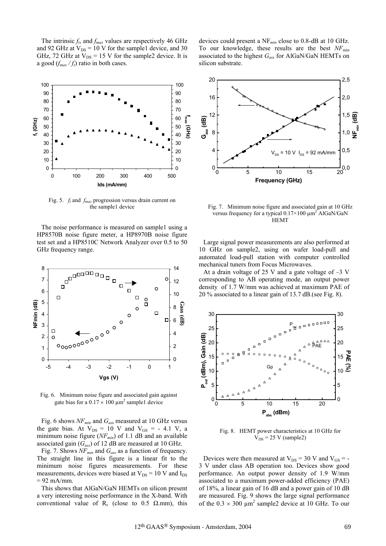The intrinsic  $f_t$ , and  $f_{max}$  values are respectively 46 GHz and 92 GHz at  $V_{DS}$  = 10 V for the sample1 device, and 30 GHz, 72 GHz at  $V_{DS}$  = 15 V for the sample2 device. It is a good  $(f_{max}/f_t)$  ratio in both cases.



Fig. 5. *ft* and *fmax* progression versus drain current on the sample1 device

The noise performance is measured on sample1 using a HP8570B noise figure meter, a HP8970B noise figure test set and a HP8510C Network Analyzer over 0.5 to 50 GHz frequency range.



Fig. 6. Minimum noise figure and associated gain against gate bias for a  $0.17 \times 100 \mu m^2$  sample1 device

the gate bias. At  $V_{DS} = 10$  V and  $V_{GS} = -4.1$  V, a minimum noise figure  $(NF<sub>min</sub>)$  of 1.1 dB and an available associated gain  $(G_{ass})$  of 12 dB are measured at 10 GHz. Fig. 6 shows *NFmin* and *Gas*<sup>s</sup> measured at 10 GHz versus

Fig. 7. Shows *NFmin* and *Gass* as a function of frequency. The straight line in this figure is a linear fit to the minimum noise figures measurements. For these measurements, devices were biased at  $V_{DS}$  = 10 V and  $I_{DS}$  $= 92$  mA/mm.

This shows that AlGaN/GaN HEMTs on silicon present a very interesting noise performance in the X-band. With conventional value of  $R_c$  (close to 0.5  $\Omega$ .mm), this

d evices could present a NF*min* close to 0.8-dB at 10 GHz. To our knowledge, these results are the best *NF*<sub>min</sub> associated to the highest *Gass* for AlGaN/GaN HEMTs on silicon substrate.



Fig. 7. Minimum noise figure and associated gain at 10 GHz versus frequency for a typical  $0.17 \times 100 \mu m^2$  AlGaN/GaN HEMT

Large signal power measurements are also performed at 10 GHz on sample2, using on wafer load-pull and automated load-pull station with computer controlled mechanical tuners from Focus Microwaves.

At a drain voltage of 25 V and a gate voltage of  $-3$  V corresponding to AB operating mode, an output power density of 1.7 W/mm was achieved at maximum PAE of 20 % associated to a linear gain of  $13.7$  dB.(see Fig. 8).



Fig. 8. HEMT power characteristics at 10 GHz for  $V_{DS}$  = 25 V (sample2)

Devices were then measured at  $V_{DS} = 30$  V and  $V_{GS} = -$ 3 V under class AB operation too. Devices show good performance. An output power density of 1.9 W/mm associated to a maximum power-added efficiency (PAE) of 18%, a linear gain of 16 dB and a power gain of 10 dB are measured. Fig. 9 shows the large signal performance of the  $0.3 \times 300 \mu m^2$  sample2 device at 10 GHz. To our